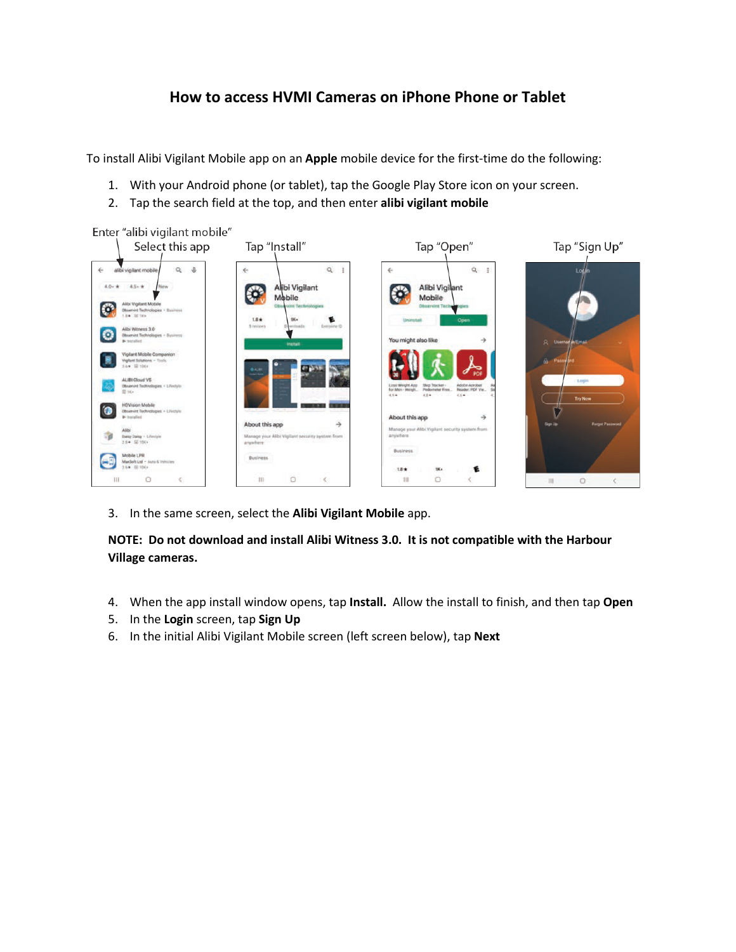## **How to access HVMI Cameras on iPhone Phone or Tablet**

To install Alibi Vigilant Mobile app on an **Apple** mobile device for the first-time do the following:

- 1. With your Android phone (or tablet), tap the Google Play Store icon on your screen.
- 2. Tap the search field at the top, and then enter **alibi vigilant mobile**

Enter "alibi vigilant mobile"



3. In the same screen, select the **Alibi Vigilant Mobile** app.

**NOTE: Do not download and install Alibi Witness 3.0. It is not compatible with the Harbour Village cameras.**

- 4. When the app install window opens, tap **Install.** Allow the install to finish, and then tap **Open**
- 5. In the **Login** screen, tap **Sign Up**
- 6. In the initial Alibi Vigilant Mobile screen (left screen below), tap **Next**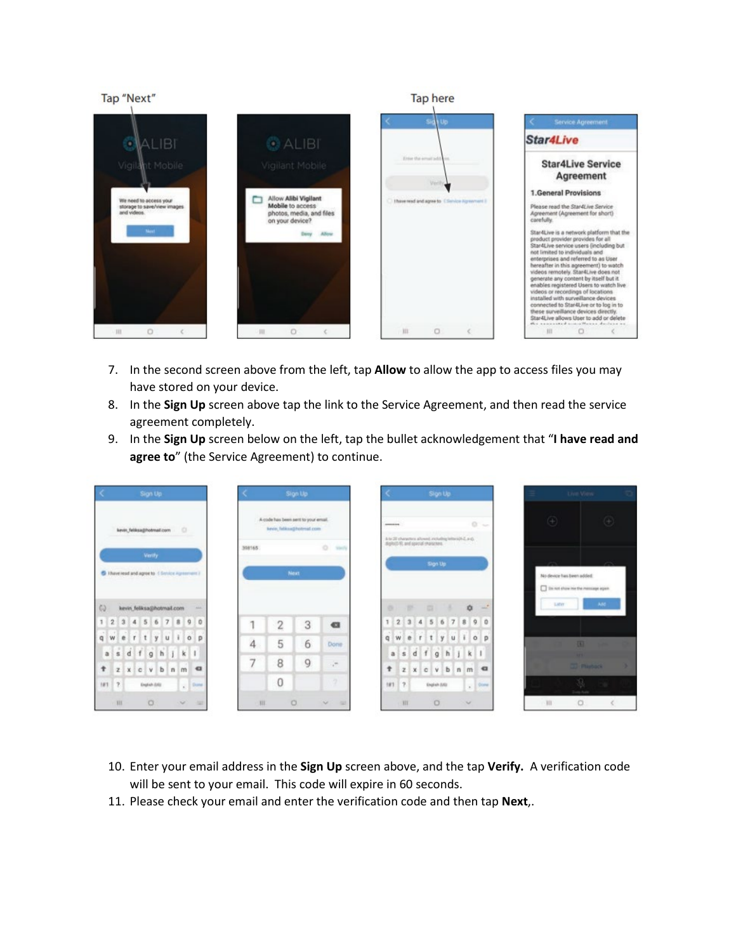

- 7. In the second screen above from the left, tap **Allow** to allow the app to access files you may have stored on your device.
- 8. In the **Sign Up** screen above tap the link to the Service Agreement, and then read the service agreement completely.
- 9. In the **Sign Up** screen below on the left, tap the bullet acknowledgement that "**I have read and agree to**" (the Service Agreement) to continue.



- 10. Enter your email address in the **Sign Up** screen above, and the tap **Verify.** A verification code will be sent to your email. This code will expire in 60 seconds.
- 11. Please check your email and enter the verification code and then tap **Next**,.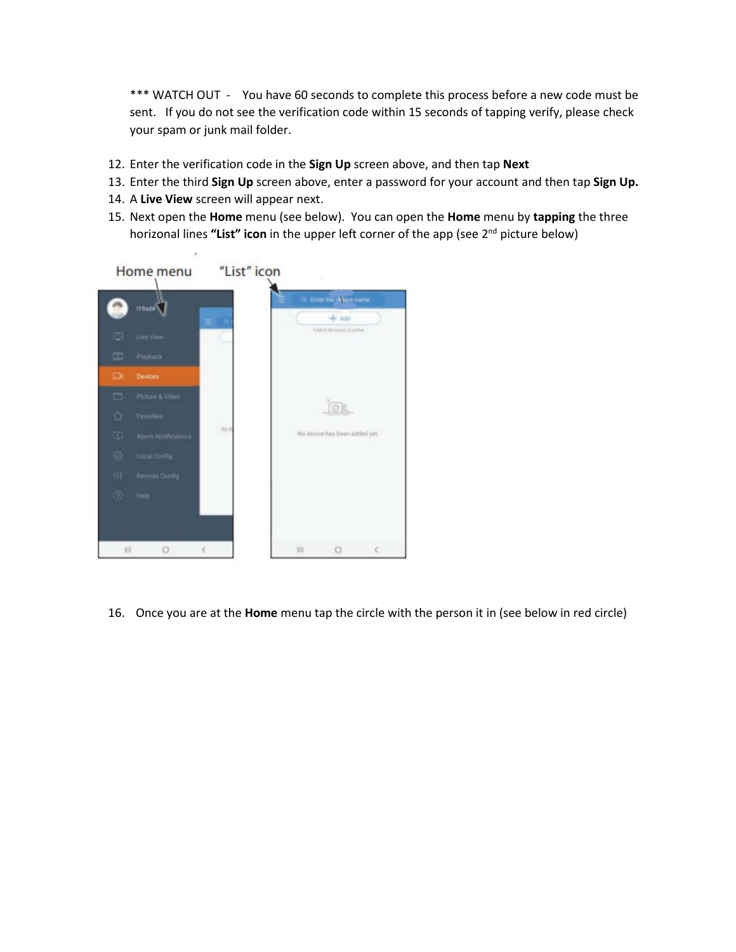\*\*\* WATCH OUT - You have 60 seconds to complete this process before a new code must be sent. If you do not see the verification code within 15 seconds of tapping verify, please check your spam or junk mail folder.

- 12. Enter the verification code in the **Sign Up** screen above, and then tap **Next**
- 13. Enter the third **Sign Up** screen above, enter a password for your account and then tap **Sign Up.**
- 14. A **Live View** screen will appear next.
- 15. Next open the **Home** menu (see below). You can open the **Home** menu by **tapping** the three horizonal lines **"List" icon** in the upper left corner of the app (see 2nd picture below)



16. Once you are at the **Home** menu tap the circle with the person it in (see below in red circle)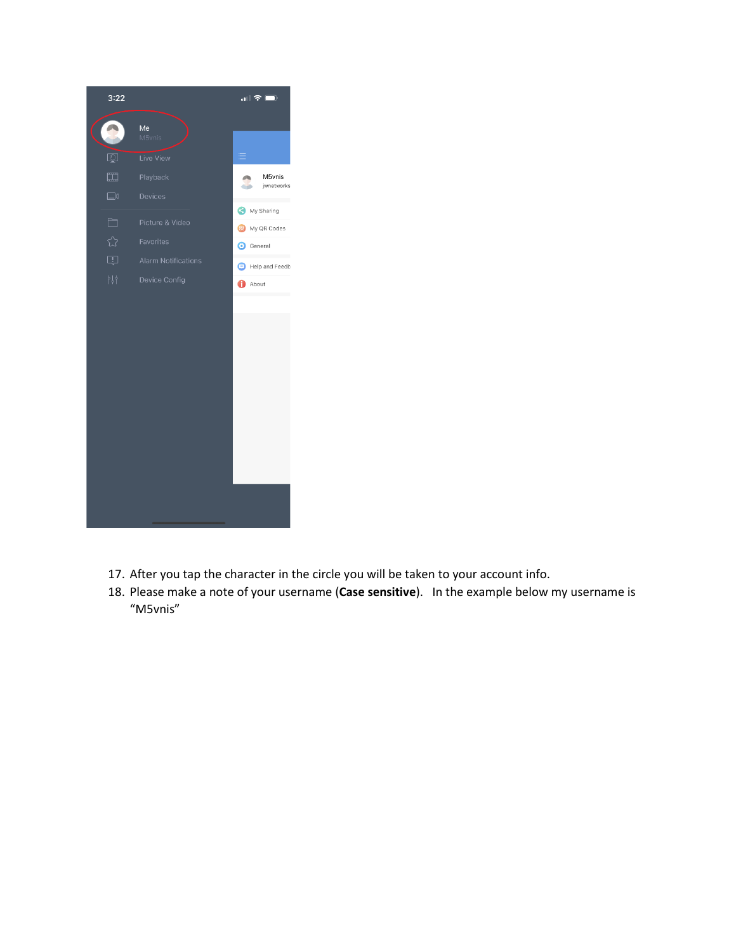

- 17. After you tap the character in the circle you will be taken to your account info.
- 18. Please make a note of your username (**Case sensitive**). In the example below my username is "M5vnis"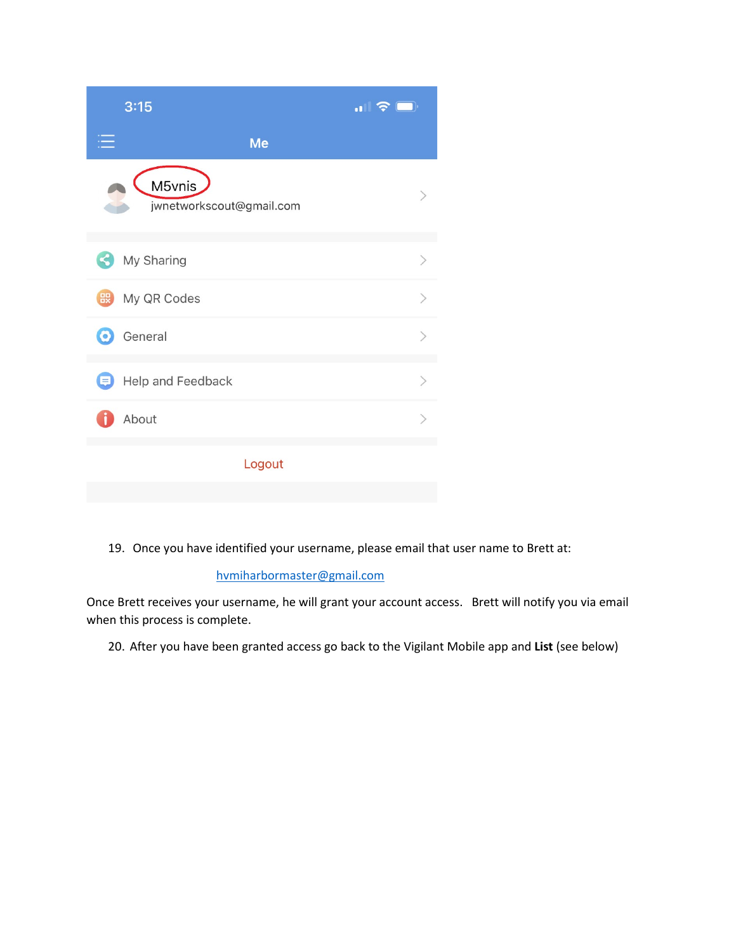| 3:15                    |                          | $\blacksquare$ $\widehat{\boldsymbol{\tau}}$ |
|-------------------------|--------------------------|----------------------------------------------|
|                         | Me                       |                                              |
| M5vnis                  | jwnetworkscout@gmail.com |                                              |
| My Sharing<br><b>Ly</b> |                          | $\mathcal{P}$                                |
| My QR Codes             |                          | $\mathcal{E}$                                |
| General<br>$\odot$      |                          | $\mathcal{P}$                                |
| Help and Feedback<br>ョ  |                          | $\mathcal{P}$                                |
| About                   |                          |                                              |
|                         | Logout                   |                                              |

19. Once you have identified your username, please email that user name to Brett at:

## [hvmiharbormaster@gmail.com](mailto:hvmiharbormaster@gmail.com)

Once Brett receives your username, he will grant your account access. Brett will notify you via email when this process is complete.

20. After you have been granted access go back to the Vigilant Mobile app and **List** (see below)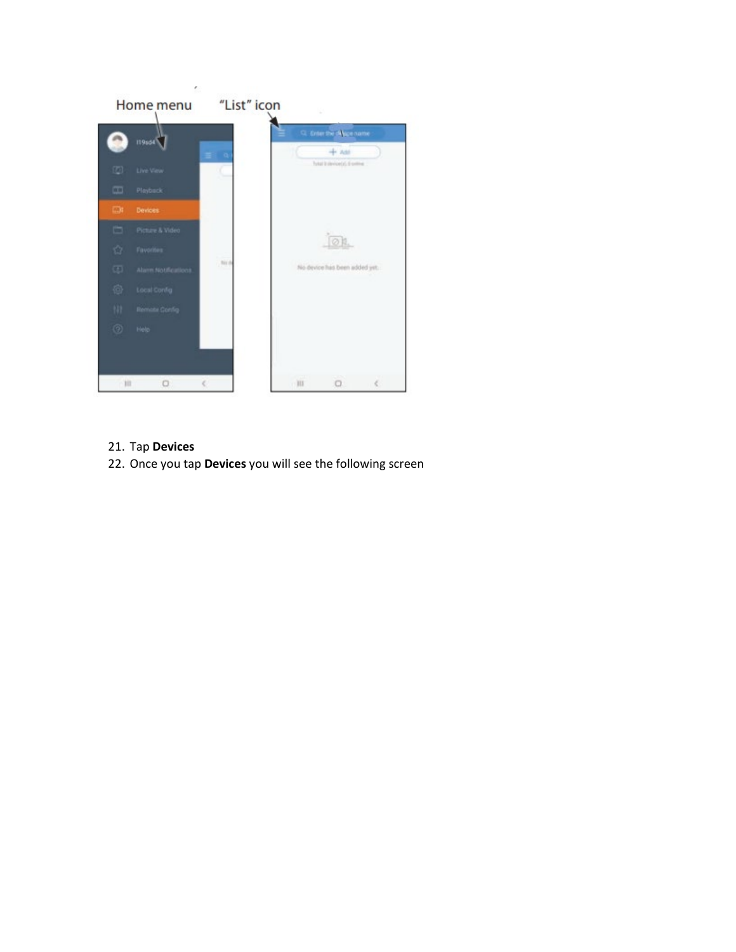

- 21. Tap **Devices**
- 22. Once you tap **Devices** you will see the following screen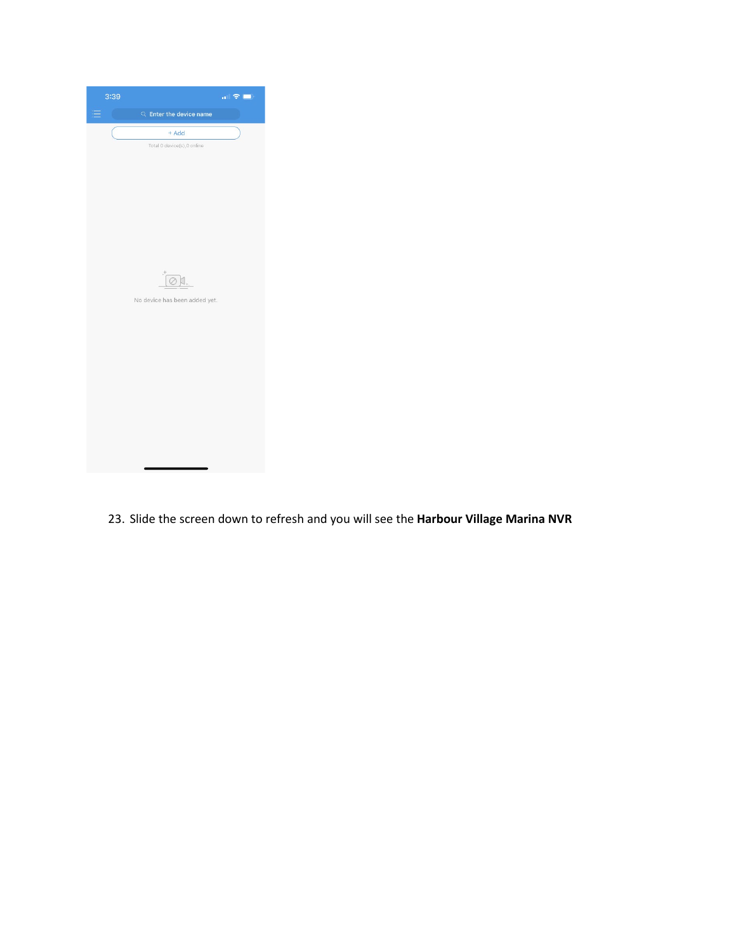

23. Slide the screen down to refresh and you will see the **Harbour Village Marina NVR**